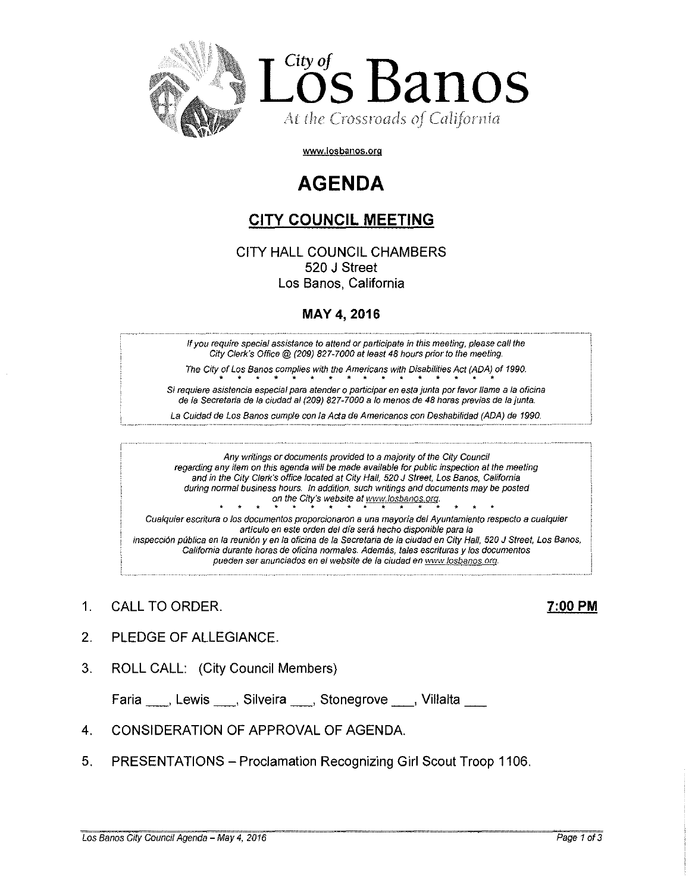

**www,losbanos.org**

# **AGENDA**

# **CITY COUNCIL MEETING**

CITY HALL COUNCIL CHAMBERS 520 J Street Los Banos, California

## MAY 4, 2016

If you require special assistance to attend or participate in this meeting, please call the City Clerk's Office@ (209) 827-7000 at least 48 hours prior to the meeting,

The City of Los Banos complies with the Americans with Disabilities Act (ADA) of 1990. Si requiere asistencia especial para atender o participar en esta junta por favor llame a la oficina de la Secretaria de la ciudad al (209) 827-7000 a lo menos de 48 horas previas de la junta.

La Cuidad de Los Banos cumple con la Acta de Americanos con Deshabilidad (ADA) de 1990.

Any writings or documents provided to a majority of the City Council regarding any item on this agenda will be made available for public inspection at the meeting and in the City Clerk's office located at City Hall, 520 J street, Los Banos, California during normal business hours. In addition, such writings and documents may be posted on the City's website at www.losbanos.org business hours. In addition, such writings and documer<br>on the City's website at www.losbanos.org.<br>A documentes are prepared as the mayoria del Augusta

Cualquier escritura <sup>0</sup> los documentos proporcionaron a una mayoria del Ayuntamiento respecto a cualquier articulo en este orden del dfa sera hecho disponible para la inspección pública en la reunión y en la oficina de la Secretaria de la ciudad en City Hall, 520 J Street, Los Banos, California durante horas de oficina normales. Además, tales escrituras y los documentos pueden ser anunciados en el website de la ciudad en www.losbanos.org.

1, CALL TO ORDER. 7:00 **PM**

- 2, PLEDGE OF ALLEGIANCE.
- 3. ROLL CALL: (City Council Members)

Faria , Lewis , Silveira , Stonegrove , Villalta

- 4, CONSIDERATION OF APPROVAL OF AGENDA.
- 5. PRESENTATIONS Proclamation Recognizing Girl Scout Troop 1106,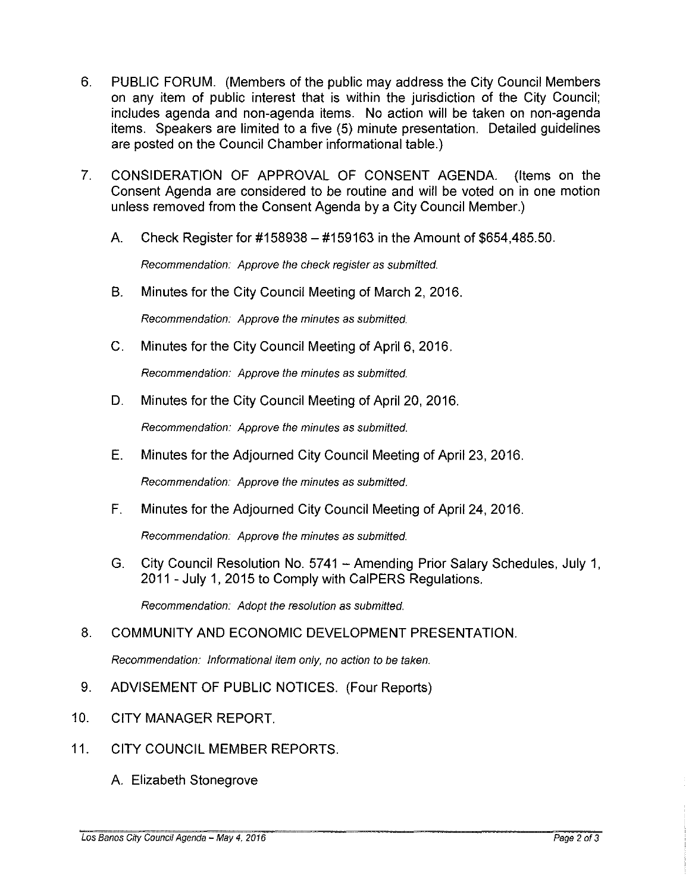- 6. PUBLIC FORUM. (Members of the public may address the City Council Members on any item of public interest that is within the jurisdiction of the City Council; includes agenda and non-agenda items. No action will be taken on non-agenda items. Speakers are limited to a five (5) minute presentation. Detailed guidelines are posted on the Council Chamber informational table.)
- 7. CONSIDERATION OF APPROVAL OF CONSENT AGENDA. (Items on the Consent Agenda are considered to be routine and will be voted on in one motion unless removed from the Consent Agenda by a City Council Member.)
	- A. Check Register for #158938 #159163 in the Amount of \$654,485.50.

Recommendation: Approve the check register as submitted.

B. Minutes for the City Council Meeting of March 2, 2016.

Recommendation: Approve the minutes as submitted.

C. Minutes for the City Council Meeting of April 6, 2016.

Recommendation: Approve the minutes as submitted.

D. Minutes for the City Council Meeting of April 20, 2016.

Recommendation: Approve the minutes as submitted.

E. Minutes for the Adjourned City Council Meeting of April 23, 2016.

Recommendation: Approve the minutes as submitted.

F. Minutes for the Adjourned City Council Meeting of April 24, 2016.

Recommendation: Approve the minutes as submitted.

G. City Council Resolution No. 5741 - Amending Prior Salary Schedules, July 1, 2011 - July 1, 2015 to Comply with CalPERS Regulations.

Recommendation: Adopt the resolution as submitted.

### 8. COMMUNITY AND ECONOMIC DEVELOPMENT PRESENTATION.

Recommendation: Informational item only, no action to be taken.

- 9. ADVISEMENT OF PUBLIC NOTICES. (Four Reports)
- 10. CITY MANAGER REPORT.
- 11. CITY COUNCIL MEMBER REPORTS.
	- A. Elizabeth Stonegrove